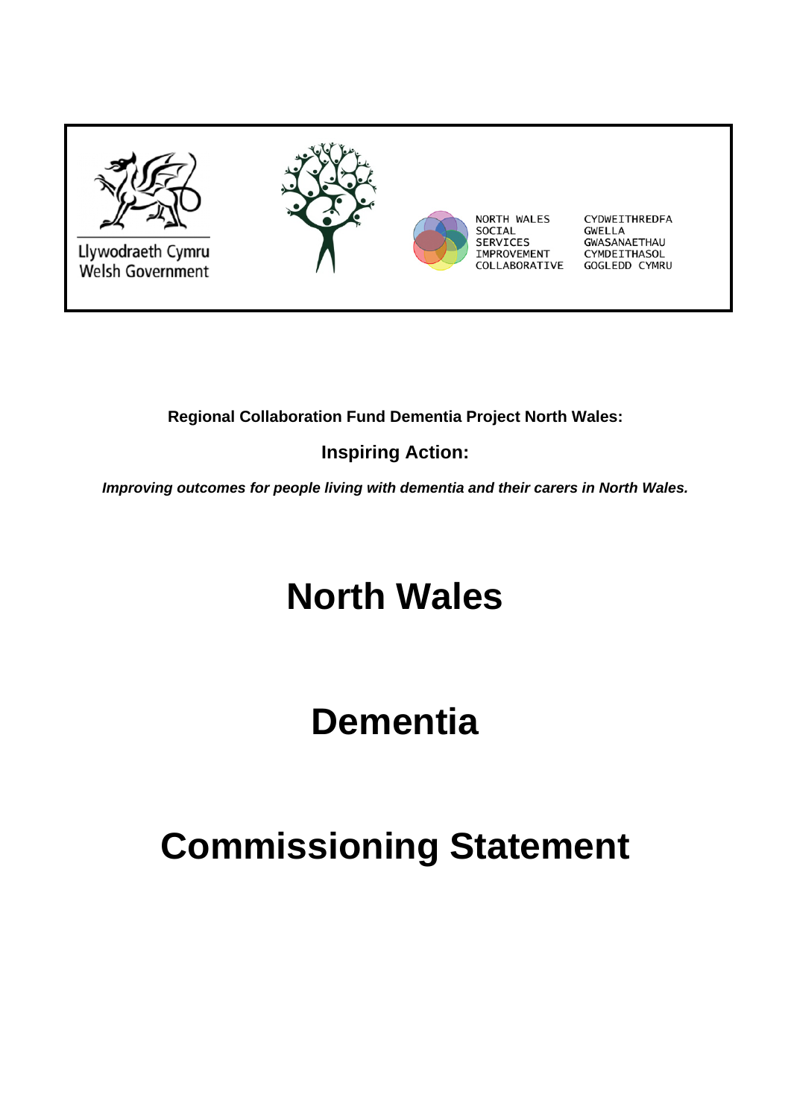

## **Regional Collaboration Fund Dementia Project North Wales:**

## **Inspiring Action:**

*Improving outcomes for people living with dementia and their carers in North Wales.* 

# **North Wales**

# **Dementia**

# **Commissioning Statement**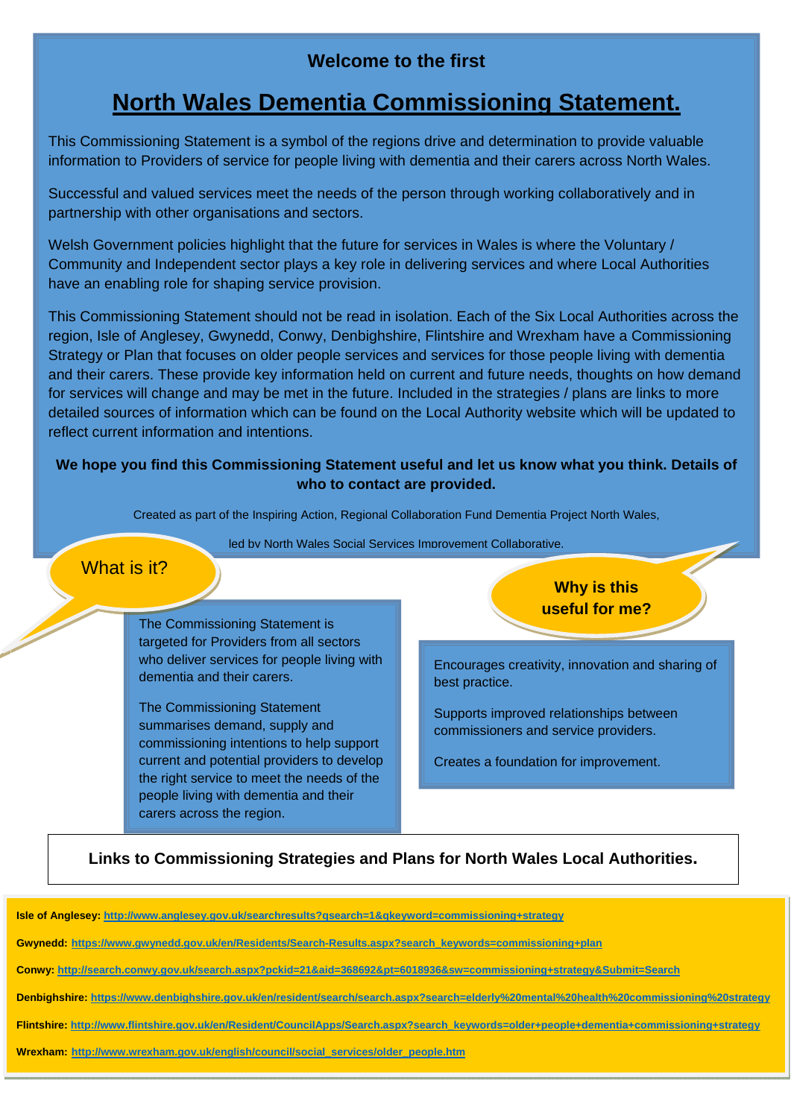## **Welcome to the first**

## **North Wales Dementia Commissioning Statement.**

This Commissioning Statement is a symbol of the regions drive and determination to provide valuable information to Providers of service for people living with dementia and their carers across North Wales.

Successful and valued services meet the needs of the person through working collaboratively and in partnership with other organisations and sectors.

Welsh Government policies highlight that the future for services in Wales is where the Voluntary / Community and Independent sector plays a key role in delivering services and where Local Authorities have an enabling role for shaping service provision.

This Commissioning Statement should not be read in isolation. Each of the Six Local Authorities across the region, Isle of Anglesey, Gwynedd, Conwy, Denbighshire, Flintshire and Wrexham have a Commissioning Strategy or Plan that focuses on older people services and services for those people living with dementia and their carers. These provide key information held on current and future needs, thoughts on how demand for services will change and may be met in the future. Included in the strategies / plans are links to more detailed sources of information which can be found on the Local Authority website which will be updated to reflect current information and intentions.

#### **We hope you find this Commissioning Statement useful and let us know what you think. Details of who to contact are provided.**

Created as part of the Inspiring Action, Regional Collaboration Fund Dementia Project North Wales,

led by North Wales Social Services Improvement Collaborative.

#### What is it?

The Commissioning Statement is targeted for Providers from all sectors who deliver services for people living with dementia and their carers.

The Commissioning Statement summarises demand, supply and commissioning intentions to help support current and potential providers to develop the right service to meet the needs of the people living with dementia and their carers across the region.

**Why is this useful for me?** 

Encourages creativity, innovation and sharing of best practice.

Supports improved relationships between commissioners and service providers.

Creates a foundation for improvement.

### **Links to Commissioning Strategies and Plans for North Wales Local Authorities.**

**Isle of Anglesey: http://www.anglesey.gov.uk/searchresults?qsearch=1&qkeyword=commissioning+strategy** 

**Gwynedd: https://www.gwynedd.gov.uk/en/Residents/Search-Results.aspx?search\_keywords=commissioning+plan**

**Conwy: http://search.conwy.gov.uk/search.aspx?pckid=21&aid=368692&pt=6018936&sw=commissioning+strategy&Submit=Search**

**Denbighshire: https://www.denbighshire.gov.uk/en/resident/search/search.aspx?search=elderly%20mental%20health%20commissioning%20strategy**

**Flintshire: http://www.flintshire.gov.uk/en/Resident/CouncilApps/Search.aspx?search\_keywords=older+people+dementia+commissioning+strategy**

**Wrexham: http://www.wrexham.gov.uk/english/council/social\_services/older\_people.htm**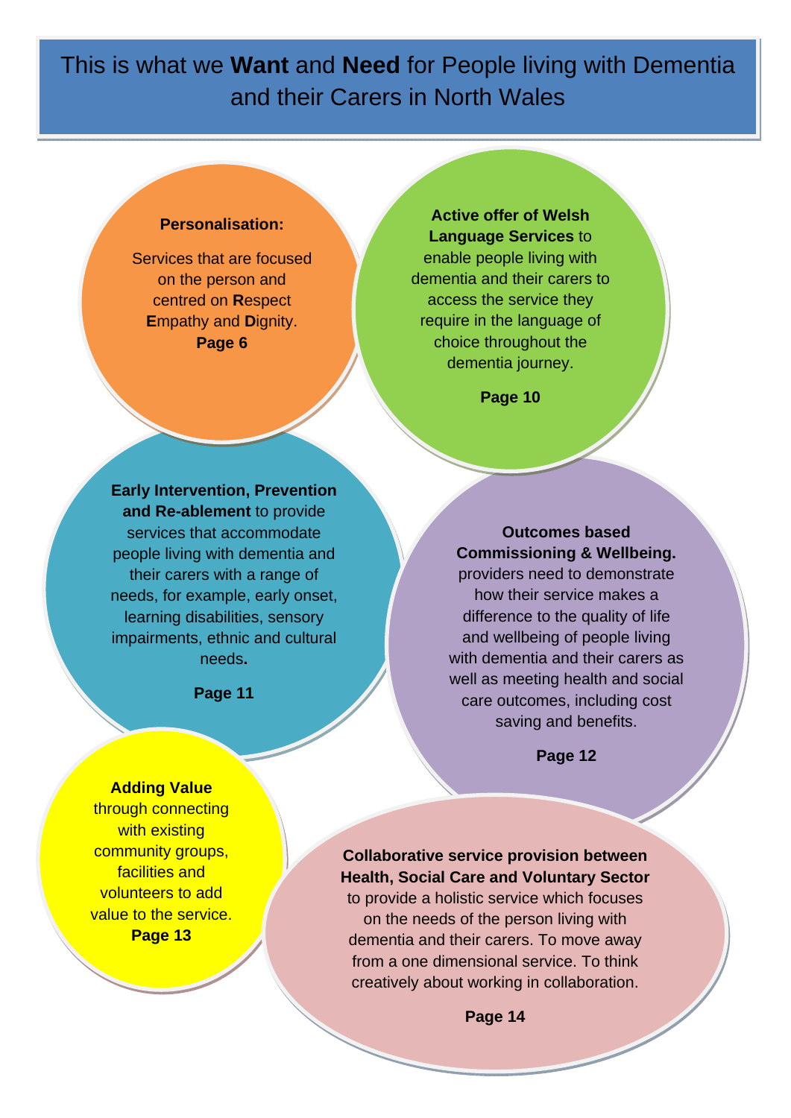This is what we **Want** and **Need** for People living with Dementia and their Carers in North Wales

#### **Personalisation:**

Services that are focused on the person and centred on **R**espect **E**mpathy and **D**ignity. **Page 6** 

**Active offer of Welsh Language Services** to enable people living with dementia and their carers to access the service they require in the language of choice throughout the dementia journey.

**Page 10** 

**Early Intervention, Prevention and Re-ablement** to provide services that accommodate people living with dementia and their carers with a range of needs, for example, early onset, learning disabilities, sensory impairments, ethnic and cultural needs**.** 

**Page 11** 

**Outcomes based Commissioning & Wellbeing.** 

providers need to demonstrate how their service makes a difference to the quality of life and wellbeing of people living with dementia and their carers as well as meeting health and social care outcomes, including cost saving and benefits.

**Page 12**

#### **Adding Value**

through connecting with existing community groups, facilities and volunteers to add value to the service. **Page 13**

**Collaborative service provision between Health, Social Care and Voluntary Sector** to provide a holistic service which focuses on the needs of the person living with dementia and their carers. To move away from a one dimensional service. To think creatively about working in collaboration.

**Page 14**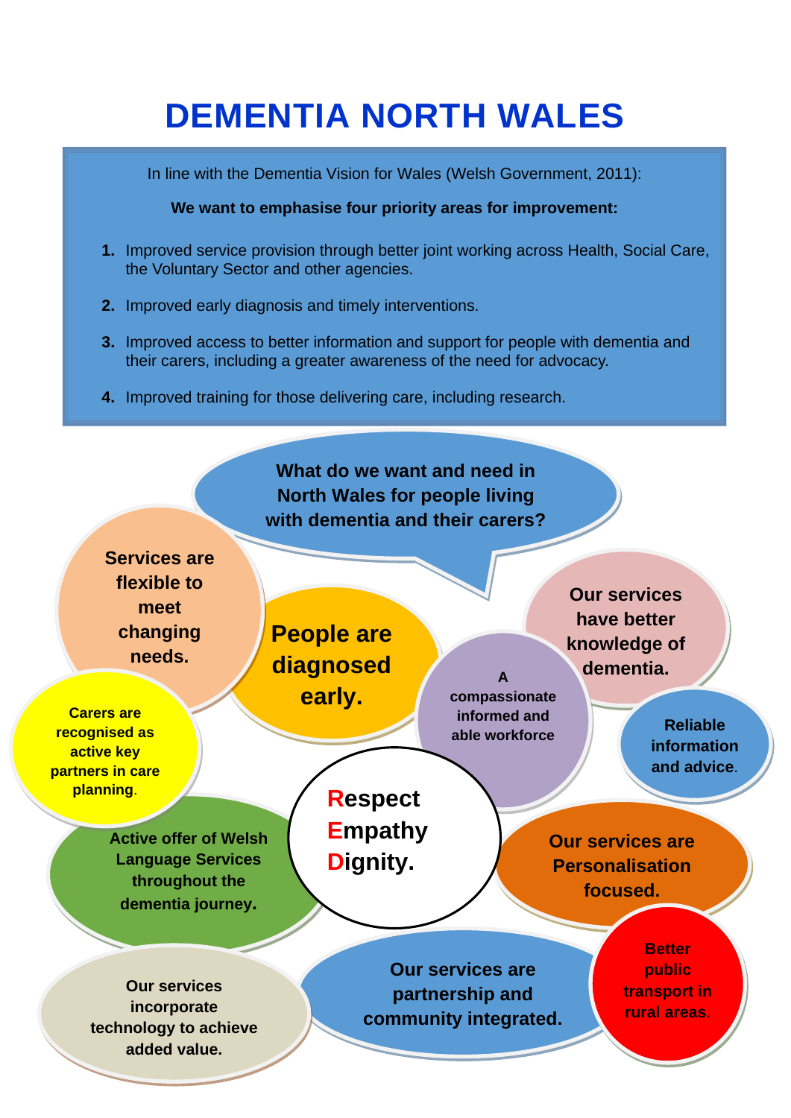# **DEMENTIA NORTH WALES**

In line with the Dementia Vision for Wales (Welsh Government, 2011):

**We want to emphasise four priority areas for improvement:** 

- **1.** Improved service provision through better joint working across Health, Social Care, the Voluntary Sector and other agencies.
- **2.** Improved early diagnosis and timely interventions.
- **3.** Improved access to better information and support for people with dementia and their carers, including a greater awareness of the need for advocacy.
- **4.** Improved training for those delivering care, including research.

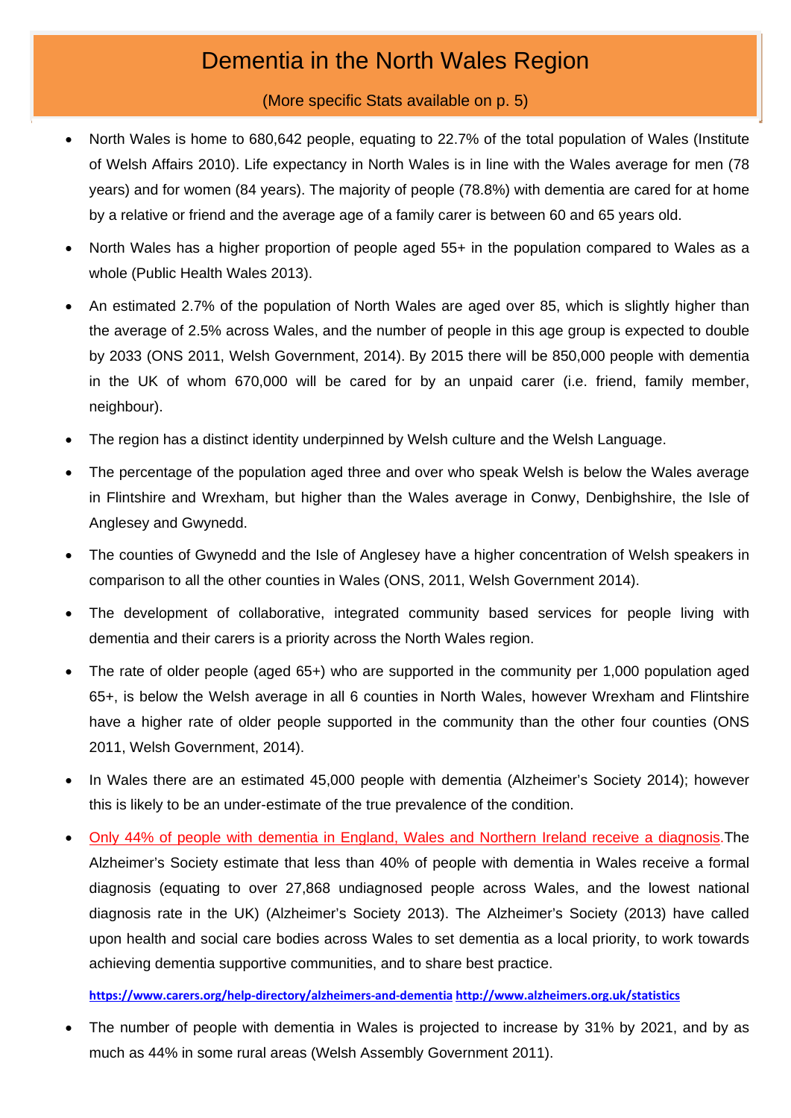## Dementia in the North Wales Region

### (More specific Stats available on p. 5)

- North Wales is home to 680,642 people, equating to 22.7% of the total population of Wales (Institute of Welsh Affairs 2010). Life expectancy in North Wales is in line with the Wales average for men (78 years) and for women (84 years). The majority of people (78.8%) with dementia are cared for at home by a relative or friend and the average age of a family carer is between 60 and 65 years old.
- North Wales has a higher proportion of people aged 55+ in the population compared to Wales as a whole (Public Health Wales 2013).
- An estimated 2.7% of the population of North Wales are aged over 85, which is slightly higher than the average of 2.5% across Wales, and the number of people in this age group is expected to double by 2033 (ONS 2011, Welsh Government, 2014). By 2015 there will be 850,000 people with dementia in the UK of whom 670,000 will be cared for by an unpaid carer (i.e. friend, family member, neighbour).
- The region has a distinct identity underpinned by Welsh culture and the Welsh Language.
- The percentage of the population aged three and over who speak Welsh is below the Wales average in Flintshire and Wrexham, but higher than the Wales average in Conwy, Denbighshire, the Isle of Anglesey and Gwynedd.
- The counties of Gwynedd and the Isle of Anglesey have a higher concentration of Welsh speakers in comparison to all the other counties in Wales (ONS, 2011, Welsh Government 2014).
- The development of collaborative, integrated community based services for people living with dementia and their carers is a priority across the North Wales region.
- The rate of older people (aged 65+) who are supported in the community per 1,000 population aged 65+, is below the Welsh average in all 6 counties in North Wales, however Wrexham and Flintshire have a higher rate of older people supported in the community than the other four counties (ONS 2011, Welsh Government, 2014).
- In Wales there are an estimated 45,000 people with dementia (Alzheimer's Society 2014); however this is likely to be an under-estimate of the true prevalence of the condition.
- Only 44% of people with dementia in England, Wales and Northern Ireland receive a diagnosis.The Alzheimer's Society estimate that less than 40% of people with dementia in Wales receive a formal diagnosis (equating to over 27,868 undiagnosed people across Wales, and the lowest national diagnosis rate in the UK) (Alzheimer's Society 2013). The Alzheimer's Society (2013) have called upon health and social care bodies across Wales to set dementia as a local priority, to work towards achieving dementia supportive communities, and to share best practice.

**https://www.carers.org/help‐directory/alzheimers‐and‐dementia http://www.alzheimers.org.uk/statistics**

 The number of people with dementia in Wales is projected to increase by 31% by 2021, and by as much as 44% in some rural areas (Welsh Assembly Government 2011).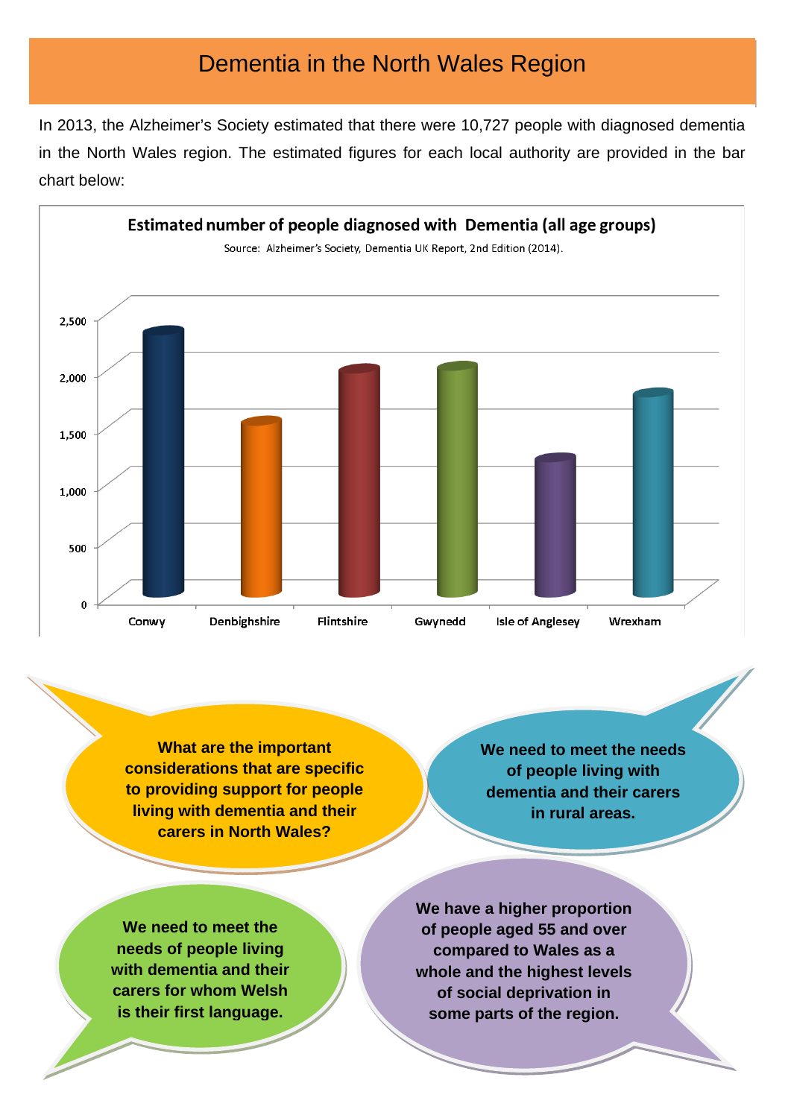## Dementia in the North Wales Region

In 2013, the Alzheimer's Society estimated that there were 10,727 people with diagnosed dementia in the North Wales region. The estimated figures for each local authority are provided in the bar chart below:



**What are the important considerations that are specific to providing support for people living with dementia and their carers in North Wales?** 

**We need to meet the needs of people living with dementia and their carers in rural areas.** 

**We need to meet the needs of people living with dementia and their carers for whom Welsh is their first language.** 

**We have a higher proportion of people aged 55 and over compared to Wales as a whole and the highest levels of social deprivation in some parts of the region.**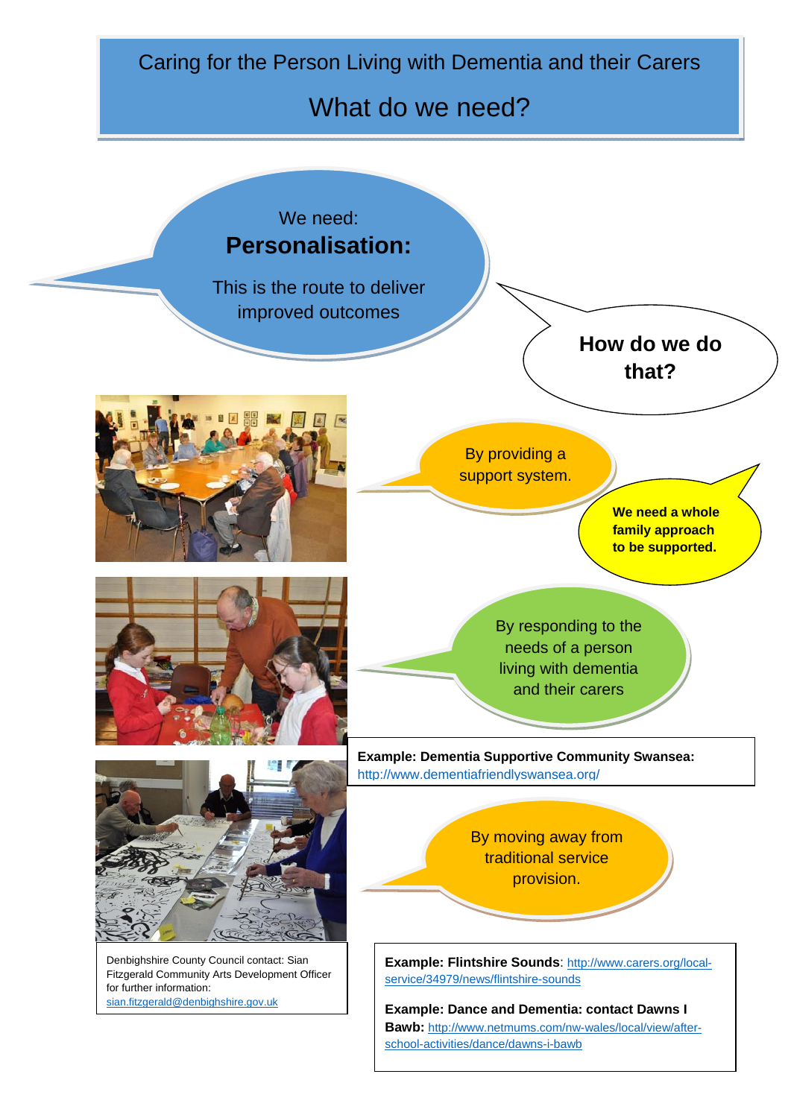Caring for the Person Living with Dementia and their Carers

## What do we need?

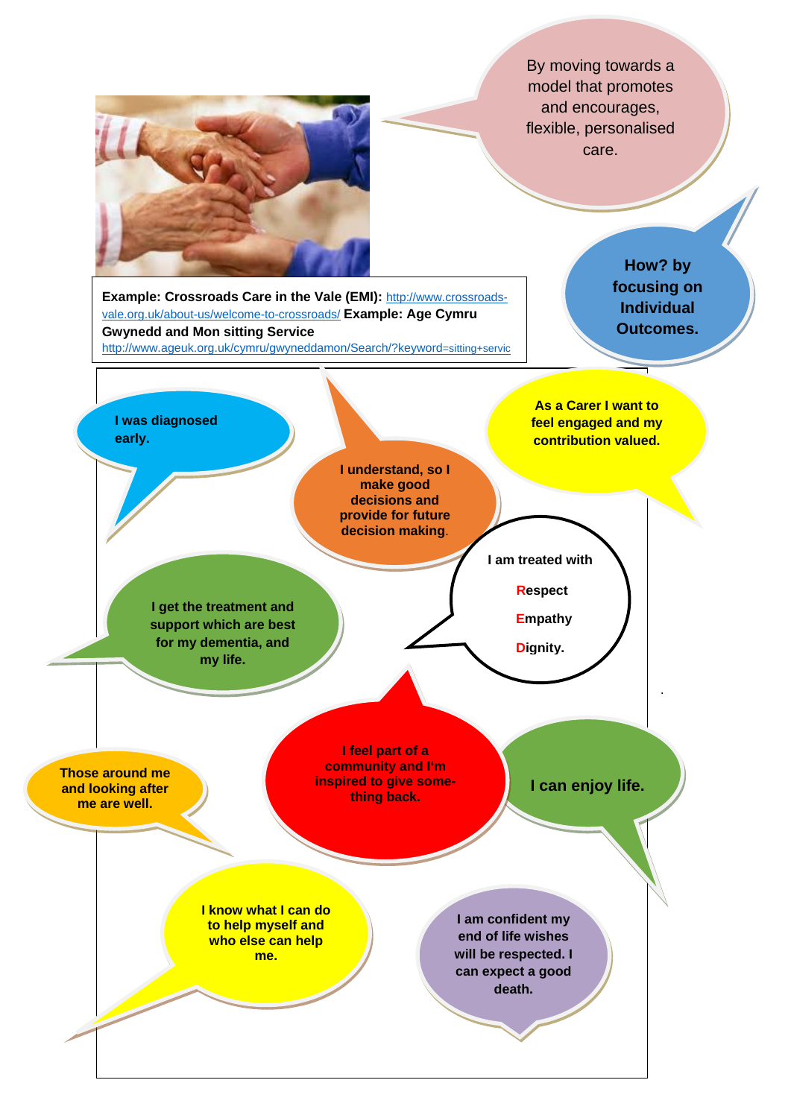By moving towards a model that promotes and encourages, flexible, personalised care.



**Example: Crossroads Care in the Vale (EMI):** http://www.crossroadsvale.org.uk/about-us/welcome-to-crossroads/ **Example: Age Cymru Gwynedd and Mon sitting Service**  http://www.ageuk.org.uk/cymru/gwyneddamon/Search/?keyword=sitting+servic

۳

**How? by focusing on Individual Outcomes.**

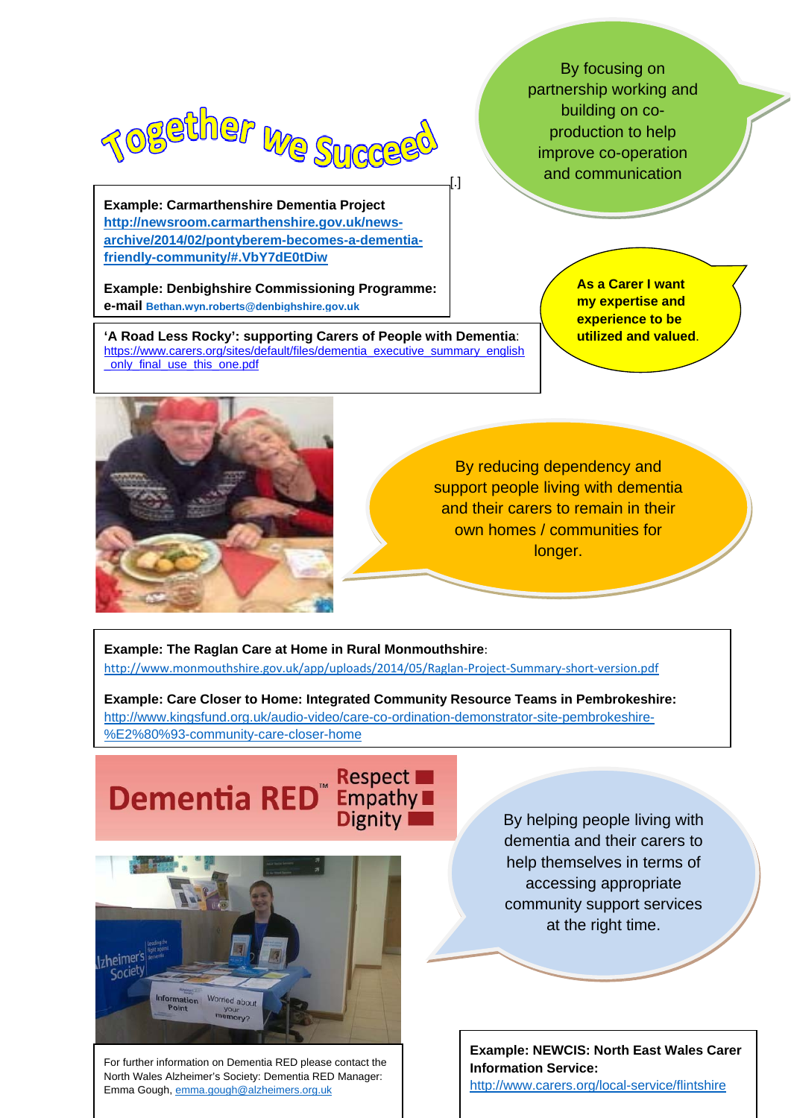

 **archive/2014/02/pontyberem-becomes-a-dementia-Example: Carmarthenshire Dementia Project http://newsroom.carmarthenshire.gov.uk/newsfriendly-community/#.VbY7dE0tDiw**

**Example: Denbighshire Commissioning Programme: e-mail Bethan.wyn.roberts@denbighshire.gov.uk**

**'A Road Less Rocky': supporting Carers of People with Dementia**: https://www.carers.org/sites/default/files/dementia\_executive\_summary\_english \_only\_final\_use\_this\_one.pdf

By focusing on partnership working and building on coproduction to help improve co-operation and communication

> **As a Carer I want my expertise and experience to be utilized and valued**.



By reducing dependency and support people living with dementia and their carers to remain in their own homes / communities for longer.

[.]

**Example: The Raglan Care at Home in Rural Monmouthshire**: http://www.monmouthshire.gov.uk/app/uploads/2014/05/Raglan‐Project‐Summary‐short‐version.pdf

**Example: Care Closer to Home: Integrated Community Resource Teams in Pembrokeshire:**  http://www.kingsfund.org.uk/audio-video/care-co-ordination-demonstrator-site-pembrokeshire- %E2%80%93-community-care-closer-home

 $\mathbf{L}$ 



For further information on Dementia RED please contact the North Wales Alzheimer's Society: Dementia RED Manager: Emma Gough, emma.gough@alzheimers.org.uk

By helping people living with dementia and their carers to help themselves in terms of accessing appropriate community support services at the right time.

**Example: NEWCIS: North East Wales Carer Information Service:**  http://www.carers.org/local-service/flintshire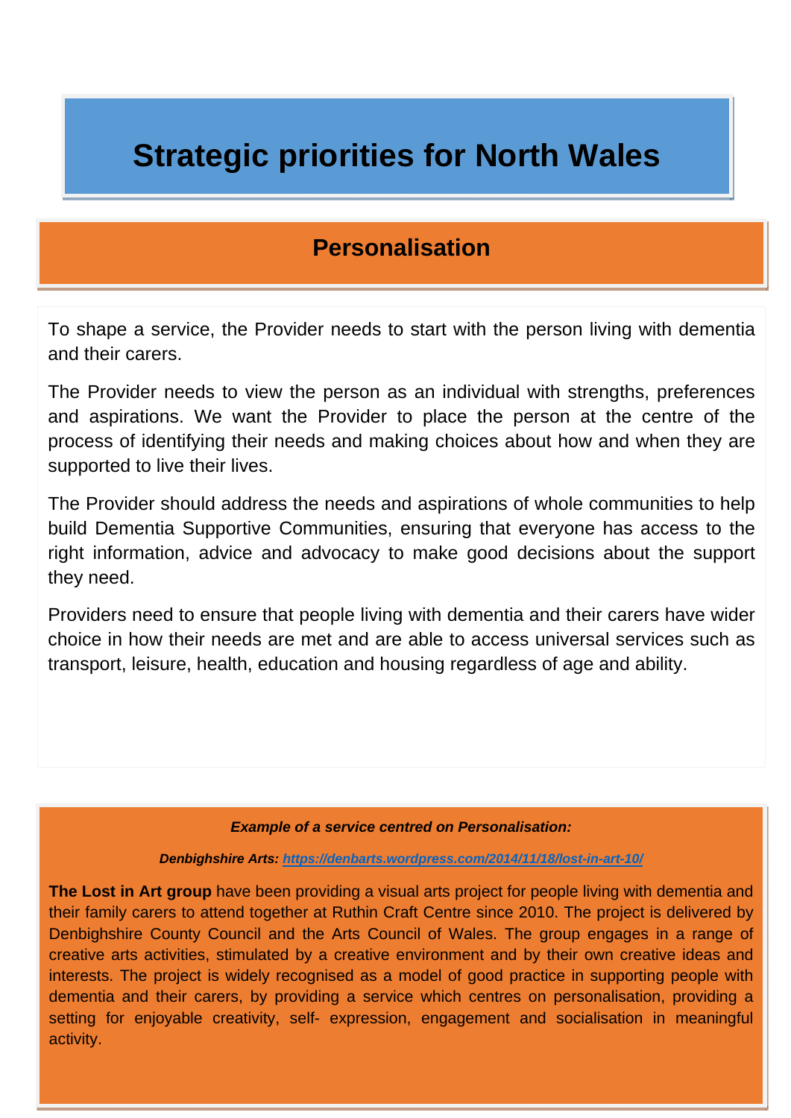# **Strategic priorities for North Wales**

## **Personalisation**

To shape a service, the Provider needs to start with the person living with dementia and their carers.

The Provider needs to view the person as an individual with strengths, preferences and aspirations. We want the Provider to place the person at the centre of the process of identifying their needs and making choices about how and when they are supported to live their lives.

The Provider should address the needs and aspirations of whole communities to help build Dementia Supportive Communities, ensuring that everyone has access to the right information, advice and advocacy to make good decisions about the support they need.

Providers need to ensure that people living with dementia and their carers have wider choice in how their needs are met and are able to access universal services such as transport, leisure, health, education and housing regardless of age and ability.

#### *Example of a service centred on Personalisation:*

*Denbighshire Arts: https://denbarts.wordpress.com/2014/11/18/lost-in-art-10/*

**The Lost in Art group** have been providing a visual arts project for people living with dementia and their family carers to attend together at Ruthin Craft Centre since 2010. The project is delivered by Denbighshire County Council and the Arts Council of Wales. The group engages in a range of creative arts activities, stimulated by a creative environment and by their own creative ideas and interests. The project is widely recognised as a model of good practice in supporting people with dementia and their carers, by providing a service which centres on personalisation, providing a setting for enjoyable creativity, self- expression, engagement and socialisation in meaningful activity.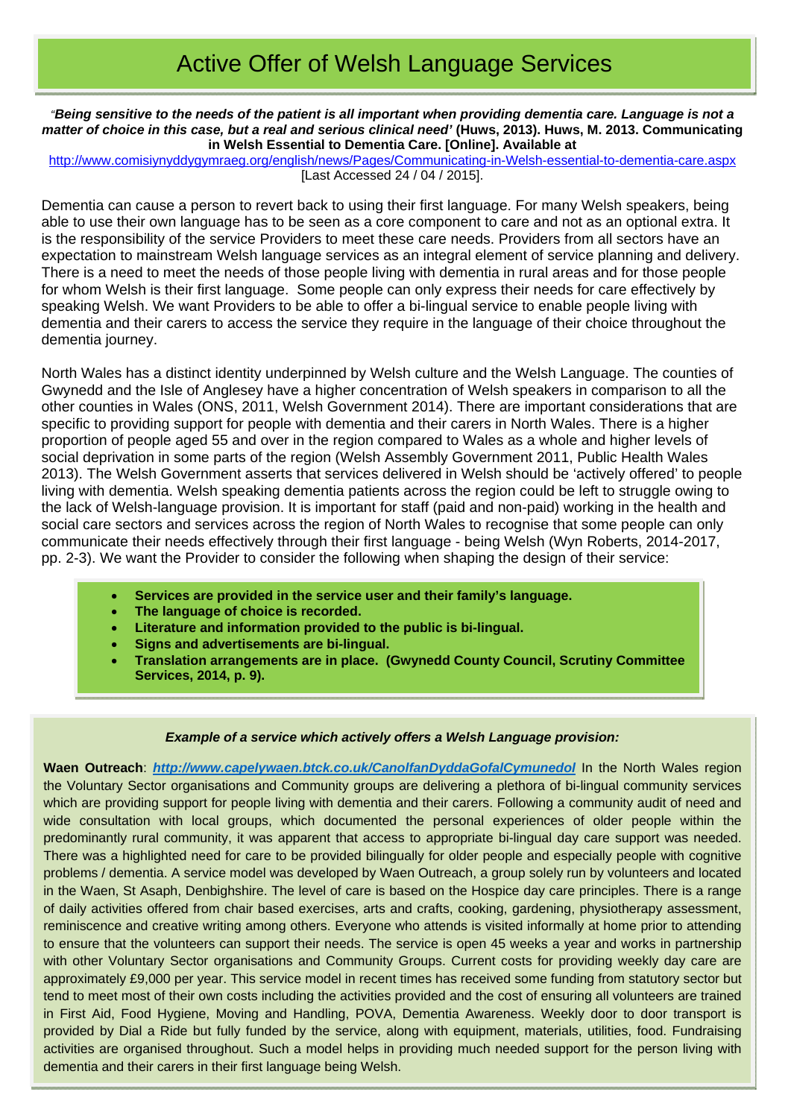# Active Offer of Welsh Language Services

*"Being sensitive to the needs of the patient is all important when providing dementia care. Language is not a matter of choice in this case, but a real and serious clinical need'* **(Huws, 2013). Huws, M. 2013. Communicating in Welsh Essential to Dementia Care. [Online]. Available at**

http://www.comisiynyddygymraeg.org/english/news/Pages/Communicating-in-Welsh-essential-to-dementia-care.aspx [Last Accessed 24 / 04 / 2015].

Dementia can cause a person to revert back to using their first language. For many Welsh speakers, being able to use their own language has to be seen as a core component to care and not as an optional extra. It is the responsibility of the service Providers to meet these care needs. Providers from all sectors have an expectation to mainstream Welsh language services as an integral element of service planning and delivery. There is a need to meet the needs of those people living with dementia in rural areas and for those people for whom Welsh is their first language. Some people can only express their needs for care effectively by speaking Welsh. We want Providers to be able to offer a bi-lingual service to enable people living with dementia and their carers to access the service they require in the language of their choice throughout the dementia journey.

North Wales has a distinct identity underpinned by Welsh culture and the Welsh Language. The counties of Gwynedd and the Isle of Anglesey have a higher concentration of Welsh speakers in comparison to all the other counties in Wales (ONS, 2011, Welsh Government 2014). There are important considerations that are specific to providing support for people with dementia and their carers in North Wales. There is a higher proportion of people aged 55 and over in the region compared to Wales as a whole and higher levels of social deprivation in some parts of the region (Welsh Assembly Government 2011, Public Health Wales 2013). The Welsh Government asserts that services delivered in Welsh should be 'actively offered' to people living with dementia. Welsh speaking dementia patients across the region could be left to struggle owing to the lack of Welsh-language provision. It is important for staff (paid and non-paid) working in the health and social care sectors and services across the region of North Wales to recognise that some people can only communicate their needs effectively through their first language - being Welsh (Wyn Roberts, 2014-2017, pp. 2-3). We want the Provider to consider the following when shaping the design of their service:

- **Services are provided in the service user and their family's language.**
- **The language of choice is recorded.**
- **Literature and information provided to the public is bi-lingual.**
- **Signs and advertisements are bi-lingual.**
- **Translation arrangements are in place. (Gwynedd County Council, Scrutiny Committee Services, 2014, p. 9).**

#### *Example of a service which actively offers a Welsh Language provision:*

**Waen Outreach**: *http://www.capelywaen.btck.co.uk/CanolfanDyddaGofalCymunedol* In the North Wales region the Voluntary Sector organisations and Community groups are delivering a plethora of bi-lingual community services which are providing support for people living with dementia and their carers. Following a community audit of need and wide consultation with local groups, which documented the personal experiences of older people within the predominantly rural community, it was apparent that access to appropriate bi-lingual day care support was needed. There was a highlighted need for care to be provided bilingually for older people and especially people with cognitive problems / dementia. A service model was developed by Waen Outreach, a group solely run by volunteers and located in the Waen, St Asaph, Denbighshire. The level of care is based on the Hospice day care principles. There is a range of daily activities offered from chair based exercises, arts and crafts, cooking, gardening, physiotherapy assessment, reminiscence and creative writing among others. Everyone who attends is visited informally at home prior to attending to ensure that the volunteers can support their needs. The service is open 45 weeks a year and works in partnership with other Voluntary Sector organisations and Community Groups. Current costs for providing weekly day care are approximately £9,000 per year. This service model in recent times has received some funding from statutory sector but tend to meet most of their own costs including the activities provided and the cost of ensuring all volunteers are trained in First Aid, Food Hygiene, Moving and Handling, POVA, Dementia Awareness. Weekly door to door transport is provided by Dial a Ride but fully funded by the service, along with equipment, materials, utilities, food. Fundraising activities are organised throughout. Such a model helps in providing much needed support for the person living with dementia and their carers in their first language being Welsh.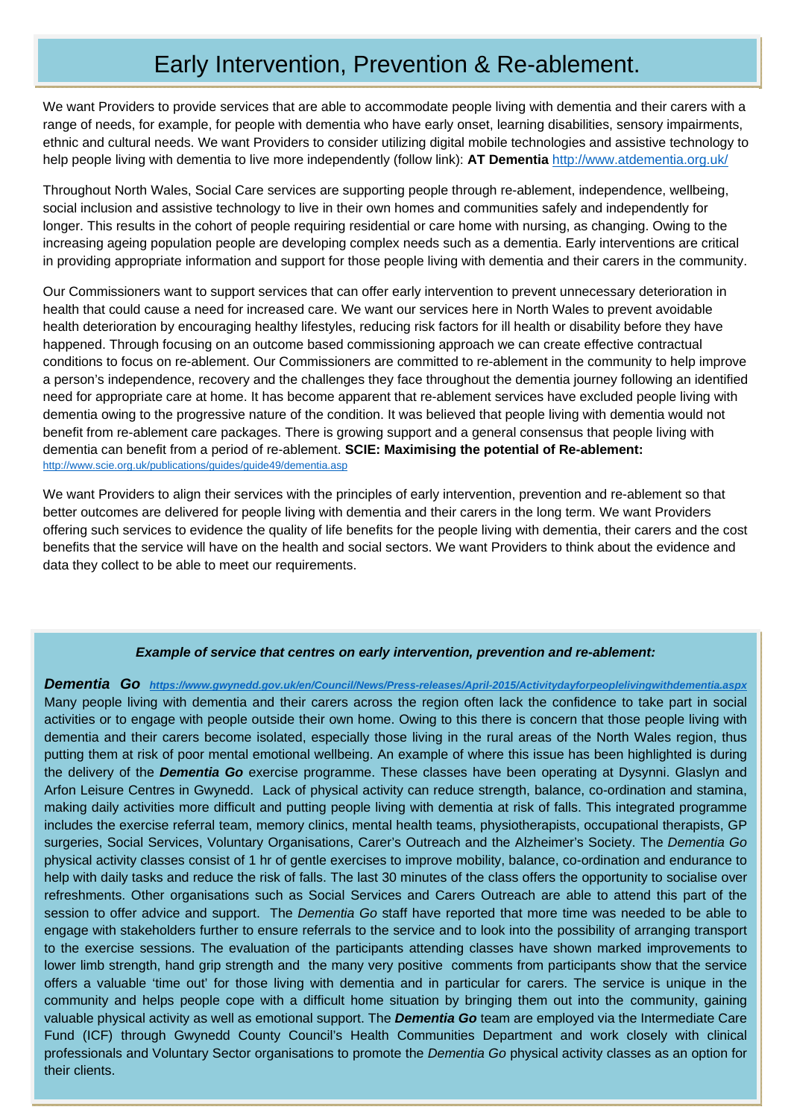# Early Intervention, Prevention & Re-ablement.

We want Providers to provide services that are able to accommodate people living with dementia and their carers with a range of needs, for example, for people with dementia who have early onset, learning disabilities, sensory impairments, ethnic and cultural needs. We want Providers to consider utilizing digital mobile technologies and assistive technology to help people living with dementia to live more independently (follow link): **AT Dementia** http://www.atdementia.org.uk/

Throughout North Wales, Social Care services are supporting people through re-ablement, independence, wellbeing, social inclusion and assistive technology to live in their own homes and communities safely and independently for longer. This results in the cohort of people requiring residential or care home with nursing, as changing. Owing to the increasing ageing population people are developing complex needs such as a dementia. Early interventions are critical in providing appropriate information and support for those people living with dementia and their carers in the community.

Our Commissioners want to support services that can offer early intervention to prevent unnecessary deterioration in health that could cause a need for increased care. We want our services here in North Wales to prevent avoidable health deterioration by encouraging healthy lifestyles, reducing risk factors for ill health or disability before they have happened. Through focusing on an outcome based commissioning approach we can create effective contractual conditions to focus on re-ablement. Our Commissioners are committed to re-ablement in the community to help improve a person's independence, recovery and the challenges they face throughout the dementia journey following an identified need for appropriate care at home. It has become apparent that re-ablement services have excluded people living with dementia owing to the progressive nature of the condition. It was believed that people living with dementia would not benefit from re-ablement care packages. There is growing support and a general consensus that people living with dementia can benefit from a period of re-ablement. **SCIE: Maximising the potential of Re-ablement:** http://www.scie.org.uk/publications/guides/guide49/dementia.asp

We want Providers to align their services with the principles of early intervention, prevention and re-ablement so that better outcomes are delivered for people living with dementia and their carers in the long term. We want Providers offering such services to evidence the quality of life benefits for the people living with dementia, their carers and the cost benefits that the service will have on the health and social sectors. We want Providers to think about the evidence and data they collect to be able to meet our requirements.

#### *Example of service that centres on early intervention, prevention and re-ablement:*

*Dementia Go https://www.gwynedd.gov.uk/en/Council/News/Press-releases/April-2015/Activitydayforpeoplelivingwithdementia.aspx* Many people living with dementia and their carers across the region often lack the confidence to take part in social activities or to engage with people outside their own home. Owing to this there is concern that those people living with dementia and their carers become isolated, especially those living in the rural areas of the North Wales region, thus putting them at risk of poor mental emotional wellbeing. An example of where this issue has been highlighted is during the delivery of the *Dementia Go* exercise programme. These classes have been operating at Dysynni. Glaslyn and Arfon Leisure Centres in Gwynedd. Lack of physical activity can reduce strength, balance, co-ordination and stamina, making daily activities more difficult and putting people living with dementia at risk of falls. This integrated programme includes the exercise referral team, memory clinics, mental health teams, physiotherapists, occupational therapists, GP surgeries, Social Services, Voluntary Organisations, Carer's Outreach and the Alzheimer's Society. The *Dementia Go*  physical activity classes consist of 1 hr of gentle exercises to improve mobility, balance, co-ordination and endurance to help with daily tasks and reduce the risk of falls. The last 30 minutes of the class offers the opportunity to socialise over refreshments. Other organisations such as Social Services and Carers Outreach are able to attend this part of the session to offer advice and support. The *Dementia Go* staff have reported that more time was needed to be able to engage with stakeholders further to ensure referrals to the service and to look into the possibility of arranging transport to the exercise sessions. The evaluation of the participants attending classes have shown marked improvements to lower limb strength, hand grip strength and the many very positive comments from participants show that the service offers a valuable 'time out' for those living with dementia and in particular for carers. The service is unique in the community and helps people cope with a difficult home situation by bringing them out into the community, gaining valuable physical activity as well as emotional support. The *Dementia Go* team are employed via the Intermediate Care Fund (ICF) through Gwynedd County Council's Health Communities Department and work closely with clinical professionals and Voluntary Sector organisations to promote the *Dementia Go* physical activity classes as an option for their clients.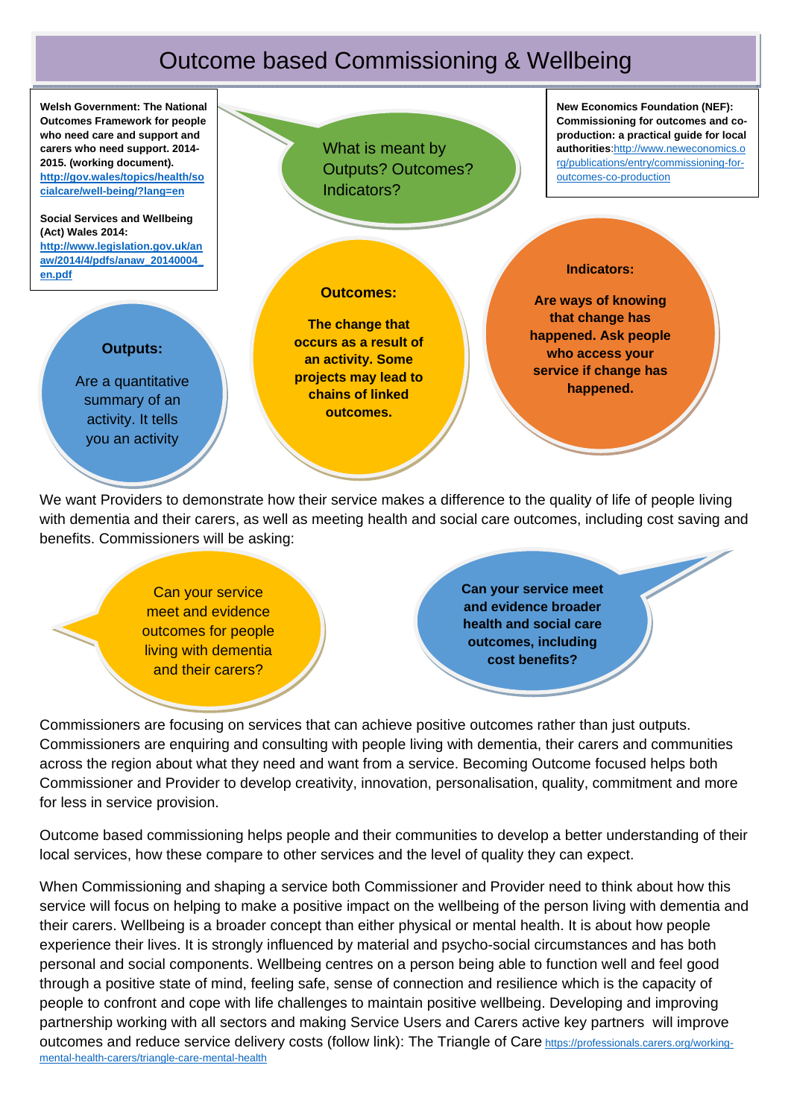## Outcome based Commissioning & Wellbeing



We want Providers to demonstrate how their service makes a difference to the quality of life of people living with dementia and their carers, as well as meeting health and social care outcomes, including cost saving and benefits. Commissioners will be asking:

> Can your service meet and evidence outcomes for people living with dementia and their carers?

**Can your service meet and evidence broader health and social care outcomes, including cost benefits?** 

Commissioners are focusing on services that can achieve positive outcomes rather than just outputs. Commissioners are enquiring and consulting with people living with dementia, their carers and communities across the region about what they need and want from a service. Becoming Outcome focused helps both Commissioner and Provider to develop creativity, innovation, personalisation, quality, commitment and more for less in service provision.

Outcome based commissioning helps people and their communities to develop a better understanding of their local services, how these compare to other services and the level of quality they can expect.

When Commissioning and shaping a service both Commissioner and Provider need to think about how this service will focus on helping to make a positive impact on the wellbeing of the person living with dementia and their carers. Wellbeing is a broader concept than either physical or mental health. It is about how people experience their lives. It is strongly influenced by material and psycho-social circumstances and has both personal and social components. Wellbeing centres on a person being able to function well and feel good through a positive state of mind, feeling safe, sense of connection and resilience which is the capacity of people to confront and cope with life challenges to maintain positive wellbeing. Developing and improving partnership working with all sectors and making Service Users and Carers active key partners will improve outcomes and reduce service delivery costs (follow link): The Triangle of Care https://professionals.carers.org/workingmental-health-carers/triangle-care-mental-health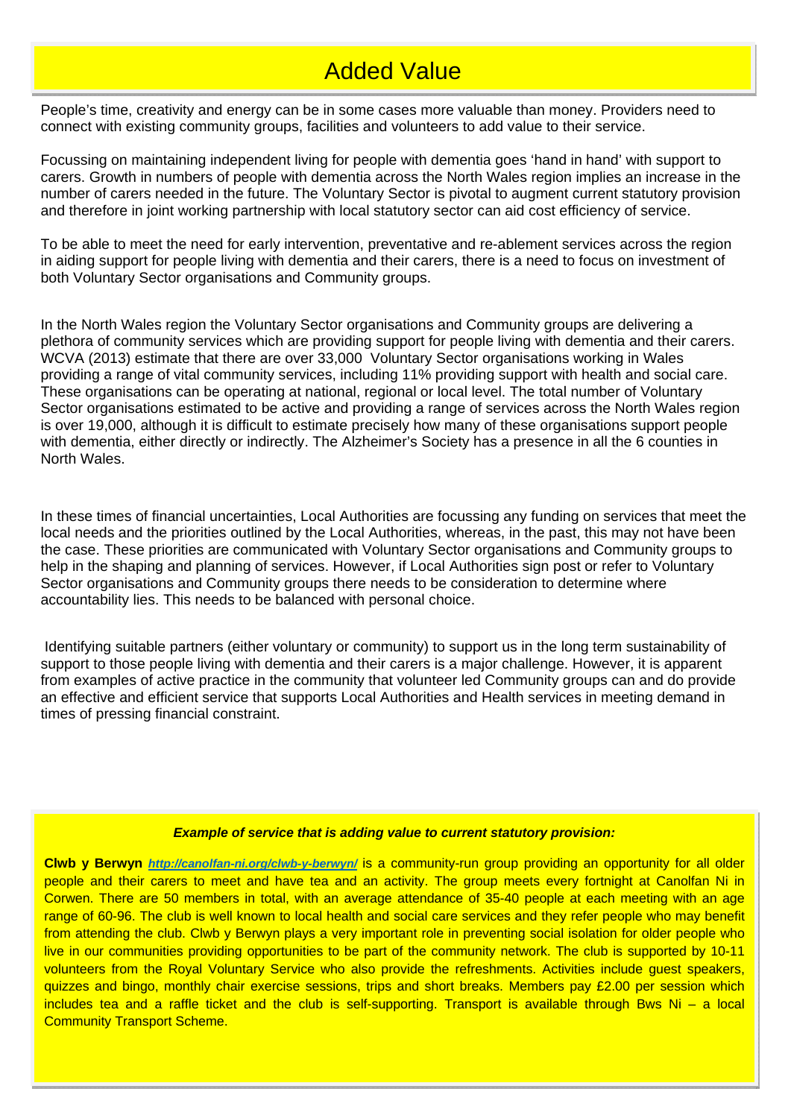## Added Value

People's time, creativity and energy can be in some cases more valuable than money. Providers need to connect with existing community groups, facilities and volunteers to add value to their service.

Focussing on maintaining independent living for people with dementia goes 'hand in hand' with support to carers. Growth in numbers of people with dementia across the North Wales region implies an increase in the number of carers needed in the future. The Voluntary Sector is pivotal to augment current statutory provision and therefore in joint working partnership with local statutory sector can aid cost efficiency of service.

To be able to meet the need for early intervention, preventative and re-ablement services across the region in aiding support for people living with dementia and their carers, there is a need to focus on investment of both Voluntary Sector organisations and Community groups.

In the North Wales region the Voluntary Sector organisations and Community groups are delivering a plethora of community services which are providing support for people living with dementia and their carers. WCVA (2013) estimate that there are over 33,000 Voluntary Sector organisations working in Wales providing a range of vital community services, including 11% providing support with health and social care. These organisations can be operating at national, regional or local level. The total number of Voluntary Sector organisations estimated to be active and providing a range of services across the North Wales region is over 19,000, although it is difficult to estimate precisely how many of these organisations support people with dementia, either directly or indirectly. The Alzheimer's Society has a presence in all the 6 counties in North Wales.

In these times of financial uncertainties, Local Authorities are focussing any funding on services that meet the local needs and the priorities outlined by the Local Authorities, whereas, in the past, this may not have been the case. These priorities are communicated with Voluntary Sector organisations and Community groups to help in the shaping and planning of services. However, if Local Authorities sign post or refer to Voluntary Sector organisations and Community groups there needs to be consideration to determine where accountability lies. This needs to be balanced with personal choice.

 Identifying suitable partners (either voluntary or community) to support us in the long term sustainability of support to those people living with dementia and their carers is a major challenge. However, it is apparent from examples of active practice in the community that volunteer led Community groups can and do provide an effective and efficient service that supports Local Authorities and Health services in meeting demand in times of pressing financial constraint.

#### *Example of service that is adding value to current statutory provision:*

**Clwb y Berwyn** *http://canolfan-ni.org/clwb-y-berwyn/* is a community-run group providing an opportunity for all older people and their carers to meet and have tea and an activity. The group meets every fortnight at Canolfan Ni in Corwen. There are 50 members in total, with an average attendance of 35-40 people at each meeting with an age range of 60-96. The club is well known to local health and social care services and they refer people who may benefit from attending the club. Clwb y Berwyn plays a very important role in preventing social isolation for older people who live in our communities providing opportunities to be part of the community network. The club is supported by 10-11 volunteers from the Royal Voluntary Service who also provide the refreshments. Activities include guest speakers, quizzes and bingo, monthly chair exercise sessions, trips and short breaks. Members pay £2.00 per session which includes tea and a raffle ticket and the club is self-supporting. Transport is available through Bws Ni – a local Community Transport Scheme.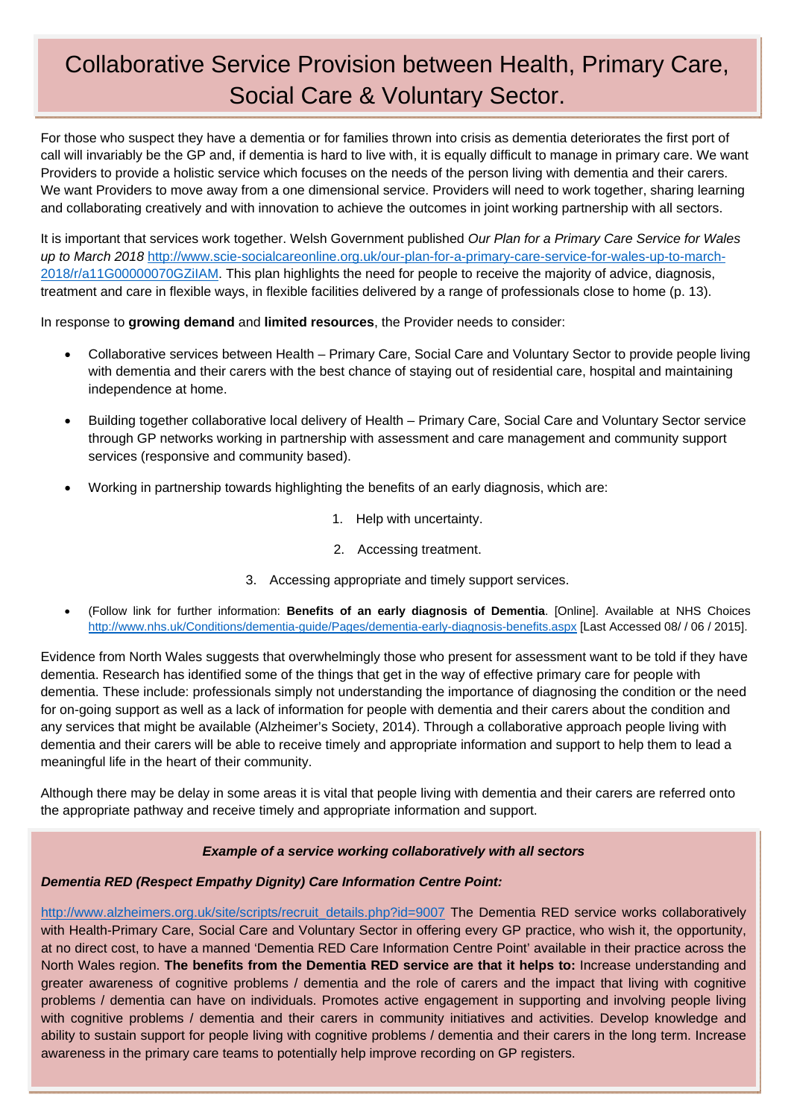# Collaborative Service Provision between Health, Primary Care, Social Care & Voluntary Sector.

For those who suspect they have a dementia or for families thrown into crisis as dementia deteriorates the first port of call will invariably be the GP and, if dementia is hard to live with, it is equally difficult to manage in primary care. We want Providers to provide a holistic service which focuses on the needs of the person living with dementia and their carers. We want Providers to move away from a one dimensional service. Providers will need to work together, sharing learning and collaborating creatively and with innovation to achieve the outcomes in joint working partnership with all sectors.

It is important that services work together. Welsh Government published *Our Plan for a Primary Care Service for Wales up to March 2018* http://www.scie-socialcareonline.org.uk/our-plan-for-a-primary-care-service-for-wales-up-to-march-2018/r/a11G00000070GZiIAM. This plan highlights the need for people to receive the majority of advice, diagnosis, treatment and care in flexible ways, in flexible facilities delivered by a range of professionals close to home (p. 13).

In response to **growing demand** and **limited resources**, the Provider needs to consider:

- Collaborative services between Health Primary Care, Social Care and Voluntary Sector to provide people living with dementia and their carers with the best chance of staying out of residential care, hospital and maintaining independence at home.
- Building together collaborative local delivery of Health Primary Care, Social Care and Voluntary Sector service through GP networks working in partnership with assessment and care management and community support services (responsive and community based).
- Working in partnership towards highlighting the benefits of an early diagnosis, which are:
	- 1. Help with uncertainty.
	- 2. Accessing treatment.
	- 3. Accessing appropriate and timely support services.
- (Follow link for further information: **Benefits of an early diagnosis of Dementia**. [Online]. Available at NHS Choices http://www.nhs.uk/Conditions/dementia-guide/Pages/dementia-early-diagnosis-benefits.aspx [Last Accessed 08/ / 06 / 2015].

Evidence from North Wales suggests that overwhelmingly those who present for assessment want to be told if they have dementia. Research has identified some of the things that get in the way of effective primary care for people with dementia. These include: professionals simply not understanding the importance of diagnosing the condition or the need for on-going support as well as a lack of information for people with dementia and their carers about the condition and any services that might be available (Alzheimer's Society, 2014). Through a collaborative approach people living with dementia and their carers will be able to receive timely and appropriate information and support to help them to lead a meaningful life in the heart of their community.

Although there may be delay in some areas it is vital that people living with dementia and their carers are referred onto the appropriate pathway and receive timely and appropriate information and support.

#### *Example of a service working collaboratively with all sectors*

### *Dementia RED (Respect Empathy Dignity) Care Information Centre Point:*

http://www.alzheimers.org.uk/site/scripts/recruit\_details.php?id=9007 The Dementia RED service works collaboratively with Health-Primary Care, Social Care and Voluntary Sector in offering every GP practice, who wish it, the opportunity, at no direct cost, to have a manned 'Dementia RED Care Information Centre Point' available in their practice across the North Wales region. **The benefits from the Dementia RED service are that it helps to:** Increase understanding and greater awareness of cognitive problems / dementia and the role of carers and the impact that living with cognitive problems / dementia can have on individuals. Promotes active engagement in supporting and involving people living with cognitive problems / dementia and their carers in community initiatives and activities. Develop knowledge and ability to sustain support for people living with cognitive problems / dementia and their carers in the long term. Increase awareness in the primary care teams to potentially help improve recording on GP registers.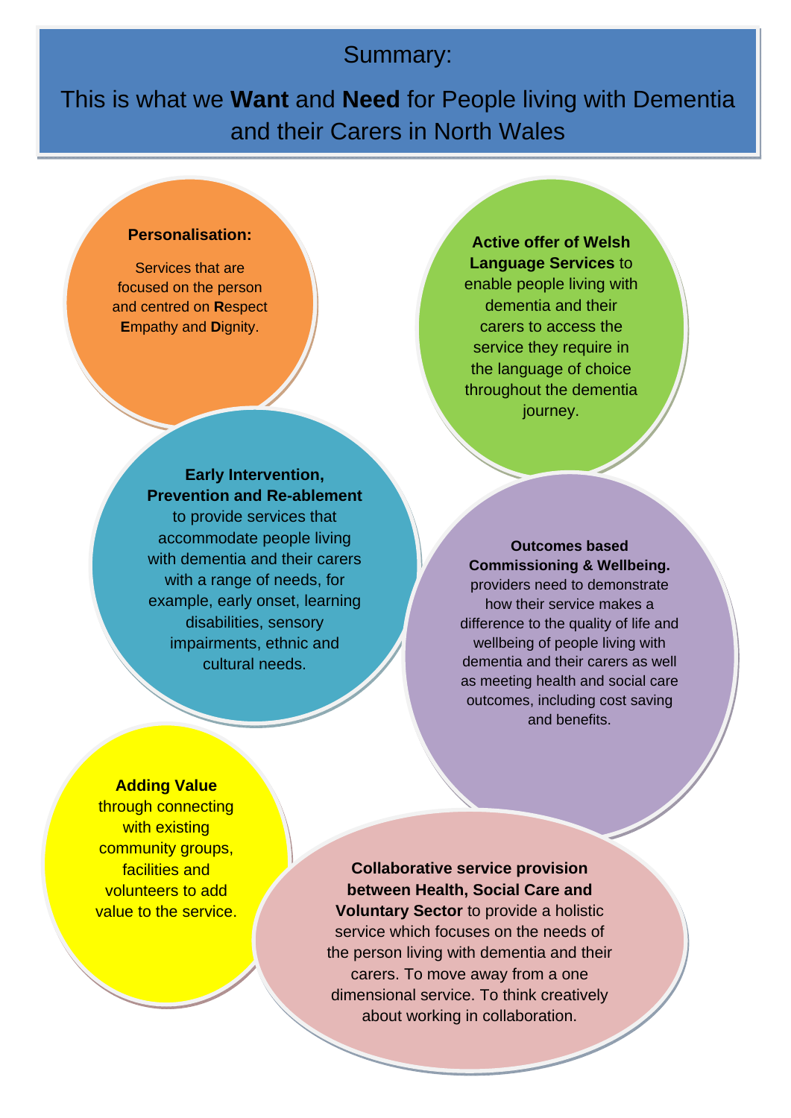## Summary:

This is what we **Want** and **Need** for People living with Dementia and their Carers in North Wales

#### **Personalisation:**

Services that are focused on the person and centred on **R**espect **E**mpathy and **D**ignity.

**Active offer of Welsh Language Services** to enable people living with dementia and their carers to access the service they require in the language of choice throughout the dementia journey.

**Early Intervention, Prevention and Re-ablement** to provide services that accommodate people living with dementia and their carers with a range of needs, for example, early onset, learning disabilities, sensory impairments, ethnic and cultural needs.

## **Outcomes based Commissioning & Wellbeing.**

providers need to demonstrate how their service makes a difference to the quality of life and wellbeing of people living with dementia and their carers as well as meeting health and social care outcomes, including cost saving and benefits.

#### **Adding Value**

through connecting with existing community groups, facilities and volunteers to add value to the service.

**Collaborative service provision between Health, Social Care and Voluntary Sector** to provide a holistic service which focuses on the needs of the person living with dementia and their carers. To move away from a one dimensional service. To think creatively about working in collaboration.